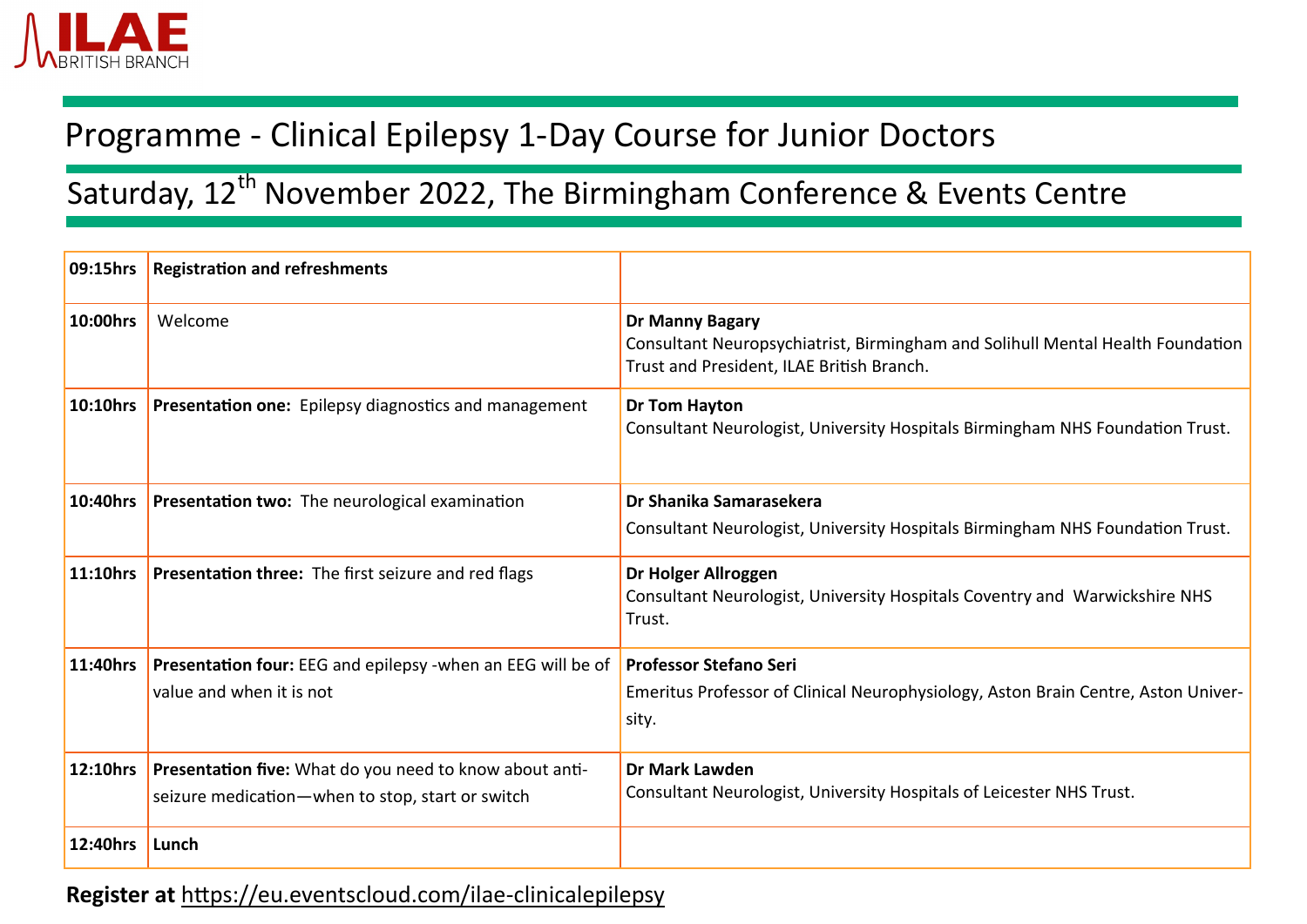

## Programme - Clinical Epilepsy 1-Day Course for Junior Doctors

Saturday, 12<sup>th</sup> November 2022, The Birmingham Conference & Events Centre

| 09:15hrs | <b>Registration and refreshments</b>                                                                        |                                                                                                                                                |
|----------|-------------------------------------------------------------------------------------------------------------|------------------------------------------------------------------------------------------------------------------------------------------------|
| 10:00hrs | Welcome                                                                                                     | Dr Manny Bagary<br>Consultant Neuropsychiatrist, Birmingham and Solihull Mental Health Foundation<br>Trust and President, ILAE British Branch. |
| 10:10hrs | Presentation one: Epilepsy diagnostics and management                                                       | Dr Tom Hayton<br>Consultant Neurologist, University Hospitals Birmingham NHS Foundation Trust.                                                 |
| 10:40hrs | Presentation two: The neurological examination                                                              | Dr Shanika Samarasekera<br>Consultant Neurologist, University Hospitals Birmingham NHS Foundation Trust.                                       |
| 11:10hrs | Presentation three: The first seizure and red flags                                                         | Dr Holger Allroggen<br>Consultant Neurologist, University Hospitals Coventry and Warwickshire NHS<br>Trust.                                    |
| 11:40hrs | Presentation four: EEG and epilepsy - when an EEG will be of<br>value and when it is not                    | <b>Professor Stefano Seri</b><br>Emeritus Professor of Clinical Neurophysiology, Aston Brain Centre, Aston Univer-<br>sity.                    |
| 12:10hrs | Presentation five: What do you need to know about anti-<br>seizure medication-when to stop, start or switch | <b>Dr Mark Lawden</b><br>Consultant Neurologist, University Hospitals of Leicester NHS Trust.                                                  |
| 12:40hrs | Lunch                                                                                                       |                                                                                                                                                |

**Register at** [https://eu.eventscloud.com/ilae](https://eu.eventscloud.com/ilae-clinicalepilepsy)-clinicalepilepsy